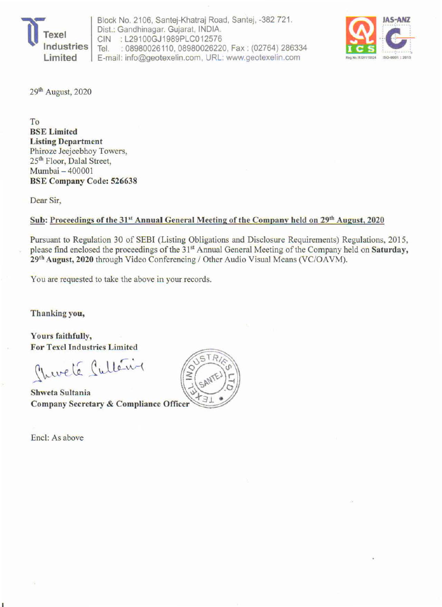

Block No. 2106, Santej-Khatraj Road, Santej, -382 721. Dist.: Gandhinagar. Gujarat, INDIA. CIN : L29100GJ1989PLC012576 Tel. : 08980026110, 08980026220, Fax : (02764) 286334 E-mail: info@geotexelin.com , URL' www.geotexelin.com



29<sup>th</sup> August, 2020

To BSE Limited Listing Department Phiroze Jeejeebhoy Towers, 25<sup>th</sup> Floor, Dalal Street, Mumbai - 400001 BSE Company Code: 526638

Dear Sir,

## Sub: Proceedings of the 31<sup>st</sup> Annual General Meeting of the Company held on 29<sup>th</sup> August, 2020

Pursuant to Regulation 30 of SEBI (Listing Obligations and Disclosure Requirements) Regulations, 2015. please find enclosed the proceedings of the 31<sup>st</sup> Annual General Meeting of the Company held on Saturday, 29<sup>th</sup> August, 2020 through Video Conferencing / Other Audio Visual Means (VC/OAVM).

You are requested to take the above in your records.

Thanking you,

Yours faithfully, For Texel Industries Limited

Churché Cultérie

Shweta Sultania **Company Secretary & Compliance Officer** 

Encl: As above

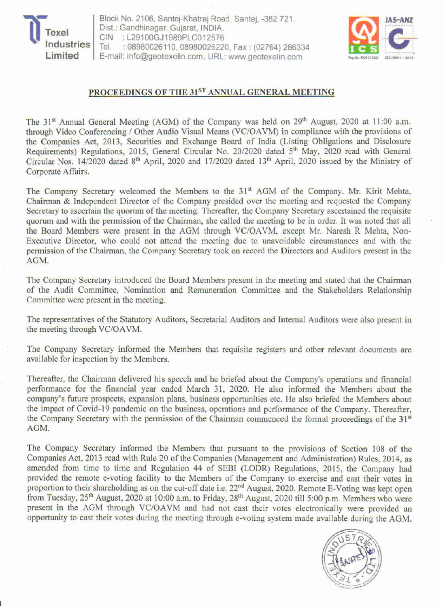

Block No. 2106, Santej-Khatraj Road, Santej, -382 721. Dist.: Gandhinagar. Gujarat, INDIA. CIN : L29100GJ1989PLC012576<br>Tel. : 08980026110.08980026220 : 08980026110, 08980026220, Fax: (02764) 286334 E-mail: info@geotexelin.com, URL: www.geotexelin.com



## PROCEEDINGS OF THE 31ST ANNUAL GENERAL MEETING

The 31<sup>st</sup> Annual General Meeting (AGM) of the Company was held on 29<sup>th</sup> August, 2020 at 11:00 a.m. through Video Conferencing / Other Audio Visual Means (VC/OA VM) in compliance with the provisions of the Companies Act, 2013. Securities and Exchange Board of India (Listing Obligations and Disclosure Requirements) Regulations, 2015, General Circular No. 20/2020 dated 5<sup>th</sup> May, 2020 read with General Circular Nos. 14/2020 dated 8<sup>th</sup> April, 2020 and 17/2020 dated 13<sup>th</sup> April, 2020 issued by the Ministry of Corporate Affairs.

The Company Secretary welcomed the Members to the 31<sup>st</sup> AGM of the Company. Mr. Kirit Mehta, Chairman & Independent Director of the Company presided over the meeting and requested the Company Secretary to ascertain the quorum of the meeting. Thereafter, the Company Secretary ascertained the requisite quorum and with the permission of the Chairman, she called the meeting to be in order. It was noted :hat all the Board Members were present in the AGM through VC/OAVM, except Mr. Naresh R Mehta, Non-Executive Director, who could not attend the meeting due to unavoidable circumstances and with the permission of the Chairman, the Company Secretary took on record the Directors and Auditors present in the AOM.

The Company Secretary introduced the Board Members present in the meeting and stated that the Chairman of the Audit Committee, Nomination and Remuneration Committee and the Stakeholders Relationship Committee were present in the meeting.

The representatives of the Statutory Auditors. Secretarial Auditors and Internal Auditors were also present in the meeting through VC/OAVM.

The Company Secretary informed the Members that requisite registers and other relevant documents are available for inspection by the Members.

Thereafter. the Chairman delivered his speech and he briefed about the Company's operations and financial performance for the financial year ended March 31, 2020. He also informed the Members about the company's future prospects, expansion plans, business opportunities etc. He also briefed the Members about the impact of Covid-19 pandemic on the business, operations and performance of the Company. Thereafter. the Company Secretary with the permission of the Chairman commenced the formal proceedings of the 31<sup>st</sup> AOM.

The Company Secretary informed the Members that pursuant to the provisions of Section 108 of the Companies Act, 2013 read with Rule 20 of the Companies (Management and Administration) Rules, 2014, as amended from time to time and Regulation 44 of SEBI (LODR) Regulations, 2015, the Company had provided the remote e-voting facility to the Members of the Company to exercise and cast their votes in proportion to their shareholding as on the cut-off date i.e. 22<sup>nd</sup> August, 2020. Remote E-Voting was kept open from Tuesday,  $25<sup>th</sup>$  August, 2020 at 10:00 a.m. to Friday, 28<sup>th</sup> August, 2020 till 5:00 p.m. Members who were present in the AGM through VC/OAVM and had not cast their votes electronically were provided an opportunity to cast their votes during the meeting through e-voting system made available during the AGM.

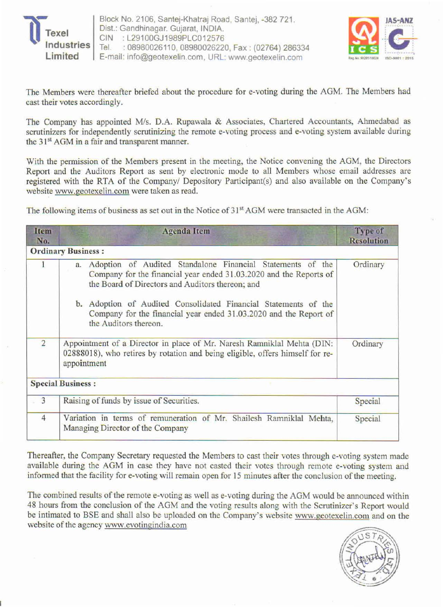



The Members were thereafter briefed about the procedure for e-voting during the AGM. The Members had cast their votes accordingly.

The Company has appointed M/s. D.A. Rupawala & Associates, Chartered Accountants, Ahmedabad as scrutinizers for independently scrutinizing the remote e-voting process and e-voting system available during the 31<sup>st</sup> AGM in a fair and transparent manner.

With the permission of the Members present in the meeting, the Notice convening the AGM, the Directors Report and the Auditors Report as sent by electronic mode to all Members whose email addresses are registered with the RTA of the Company/ Depository Participant(s) and also available on the Company's website www.geotexelin.com were taken as read.

The following items of business as set out in the Notice of 31<sup>st</sup> AGM were transacted in the AGM:

| Item<br>No.    | <b>Agenda</b> Item                                                                                                                                                                                                                                                                                                                                          | <b>Type of</b><br><b>Resolution</b> |
|----------------|-------------------------------------------------------------------------------------------------------------------------------------------------------------------------------------------------------------------------------------------------------------------------------------------------------------------------------------------------------------|-------------------------------------|
|                | <b>Ordinary Business:</b>                                                                                                                                                                                                                                                                                                                                   |                                     |
|                | Adoption of Audited Standalone Financial Statements of the<br>a.<br>Company for the financial year ended 31.03.2020 and the Reports of<br>the Board of Directors and Auditors thereon; and<br>b. Adoption of Audited Consolidated Financial Statements of the<br>Company for the financial year ended 31.03.2020 and the Report of<br>the Auditors thereon. | Ordinary                            |
| $\overline{2}$ | Appointment of a Director in place of Mr. Naresh Ramniklal Mehta (DIN:<br>02888018), who retires by rotation and being eligible, offers himself for re-<br>appointment                                                                                                                                                                                      | Ordinary                            |
|                | <b>Special Business:</b>                                                                                                                                                                                                                                                                                                                                    |                                     |
| 3              | Raising of funds by issue of Securities.                                                                                                                                                                                                                                                                                                                    | Special                             |
| $\overline{4}$ | Variation in terms of remuneration of Mr. Shailesh Ramniklal Mehta,<br>Managing Director of the Company                                                                                                                                                                                                                                                     | Special                             |

Thereafter, the Company Secretary requested the Members to cast their votes through e-voting system made available during the AGM in case they have not casted their votes through remote e-voting system and informed that the facility for e-voting will remain open for 15 minutes after the conclusion of the meeting.

The combined results of the remote e-voting as well as e-voting during the AGM would be announced within 48 hours from the conclusion of the AGM and the voting results along with the Scrutinizer's Report would be intimated to SSE and shall also be uploaded on the Company's website www.geotexelin.com and on the website of the agency www.evotingindia.com